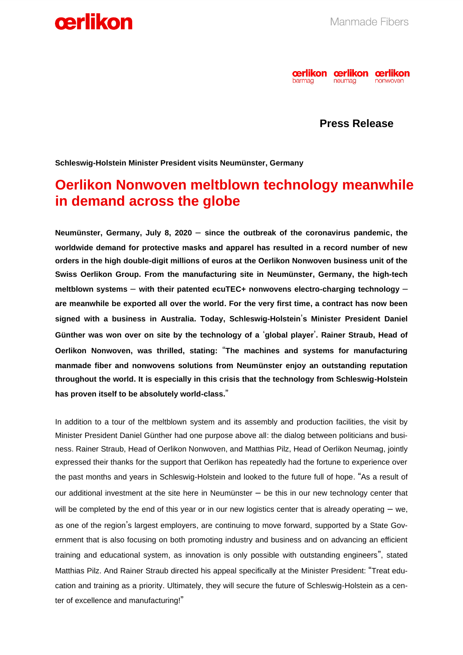



**Press Release**

**Schleswig-Holstein Minister President visits Neumünster, Germany**

## **Oerlikon Nonwoven meltblown technology meanwhile in demand across the globe**

**Neumünster, Germany, July 8, 2020** – **since the outbreak of the coronavirus pandemic, the worldwide demand for protective masks and apparel has resulted in a record number of new orders in the high double-digit millions of euros at the Oerlikon Nonwoven business unit of the Swiss Oerlikon Group. From the manufacturing site in Neumünster, Germany, the high-tech meltblown systems** – **with their patented ecuTEC+ nonwovens electro-charging technology** – **are meanwhile be exported all over the world. For the very first time, a contract has now been signed with a business in Australia. Today, Schleswig-Holstein**'**s Minister President Daniel Günther was won over on site by the technology of a** '**global player**'**. Rainer Straub, Head of Oerlikon Nonwoven, was thrilled, stating:** "**The machines and systems for manufacturing manmade fiber and nonwovens solutions from Neumünster enjoy an outstanding reputation throughout the world. It is especially in this crisis that the technology from Schleswig-Holstein has proven itself to be absolutely world-class.**"

In addition to a tour of the meltblown system and its assembly and production facilities, the visit by Minister President Daniel Günther had one purpose above all: the dialog between politicians and business. Rainer Straub, Head of Oerlikon Nonwoven, and Matthias Pilz, Head of Oerlikon Neumag, jointly expressed their thanks for the support that Oerlikon has repeatedly had the fortune to experience over the past months and years in Schleswig-Holstein and looked to the future full of hope. "As a result of our additional investment at the site here in Neumünster – be this in our new technology center that will be completed by the end of this year or in our new logistics center that is already operating – we, as one of the region's largest employers, are continuing to move forward, supported by a State Government that is also focusing on both promoting industry and business and on advancing an efficient training and educational system, as innovation is only possible with outstanding engineers", stated Matthias Pilz. And Rainer Straub directed his appeal specifically at the Minister President: "Treat education and training as a priority. Ultimately, they will secure the future of Schleswig-Holstein as a center of excellence and manufacturing!"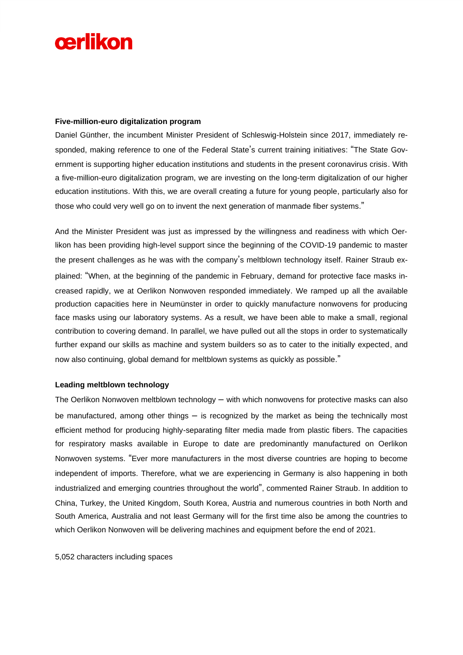# cerlikon

#### **Five-million-euro digitalization program**

Daniel Günther, the incumbent Minister President of Schleswig-Holstein since 2017, immediately responded, making reference to one of the Federal State's current training initiatives: "The State Government is supporting higher education institutions and students in the present coronavirus crisis. With a five-million-euro digitalization program, we are investing on the long-term digitalization of our higher education institutions. With this, we are overall creating a future for young people, particularly also for those who could very well go on to invent the next generation of manmade fiber systems."

And the Minister President was just as impressed by the willingness and readiness with which Oerlikon has been providing high-level support since the beginning of the COVID-19 pandemic to master the present challenges as he was with the company's meltblown technology itself. Rainer Straub explained: "When, at the beginning of the pandemic in February, demand for protective face masks increased rapidly, we at Oerlikon Nonwoven responded immediately. We ramped up all the available production capacities here in Neumünster in order to quickly manufacture nonwovens for producing face masks using our laboratory systems. As a result, we have been able to make a small, regional contribution to covering demand. In parallel, we have pulled out all the stops in order to systematically further expand our skills as machine and system builders so as to cater to the initially expected, and now also continuing, global demand for meltblown systems as quickly as possible."

#### **Leading meltblown technology**

The Oerlikon Nonwoven meltblown technology – with which nonwovens for protective masks can also be manufactured, among other things – is recognized by the market as being the technically most efficient method for producing highly-separating filter media made from plastic fibers. The capacities for respiratory masks available in Europe to date are predominantly manufactured on Oerlikon Nonwoven systems. "Ever more manufacturers in the most diverse countries are hoping to become independent of imports. Therefore, what we are experiencing in Germany is also happening in both industrialized and emerging countries throughout the world", commented Rainer Straub. In addition to China, Turkey, the United Kingdom, South Korea, Austria and numerous countries in both North and South America, Australia and not least Germany will for the first time also be among the countries to which Oerlikon Nonwoven will be delivering machines and equipment before the end of 2021.

5,052 characters including spaces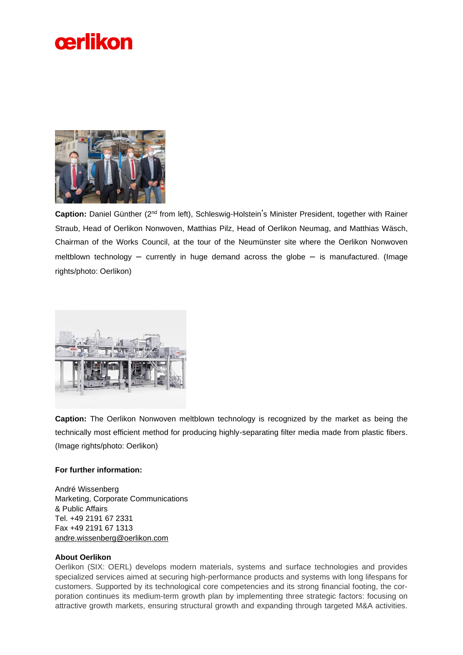



Caption: Daniel Günther (2<sup>nd</sup> from left), Schleswig-Holstein's Minister President, together with Rainer Straub, Head of Oerlikon Nonwoven, Matthias Pilz, Head of Oerlikon Neumag, and Matthias Wäsch, Chairman of the Works Council, at the tour of the Neumünster site where the Oerlikon Nonwoven meltblown technology – currently in huge demand across the globe – is manufactured. (Image rights/photo: Oerlikon)



**Caption:** The Oerlikon Nonwoven meltblown technology is recognized by the market as being the technically most efficient method for producing highly-separating filter media made from plastic fibers. (Image rights/photo: Oerlikon)

#### **For further information:**

André Wissenberg Marketing, Corporate Communications & Public Affairs Tel. +49 2191 67 2331 Fax +49 2191 67 1313 [andre.wissenberg@oerlikon.com](mailto:andre.wissenberg@oerlikon.com)

### **About Oerlikon**

Oerlikon (SIX: OERL) develops modern materials, systems and surface technologies and provides specialized services aimed at securing high-performance products and systems with long lifespans for customers. Supported by its technological core competencies and its strong financial footing, the corporation continues its medium-term growth plan by implementing three strategic factors: focusing on attractive growth markets, ensuring structural growth and expanding through targeted M&A activities.